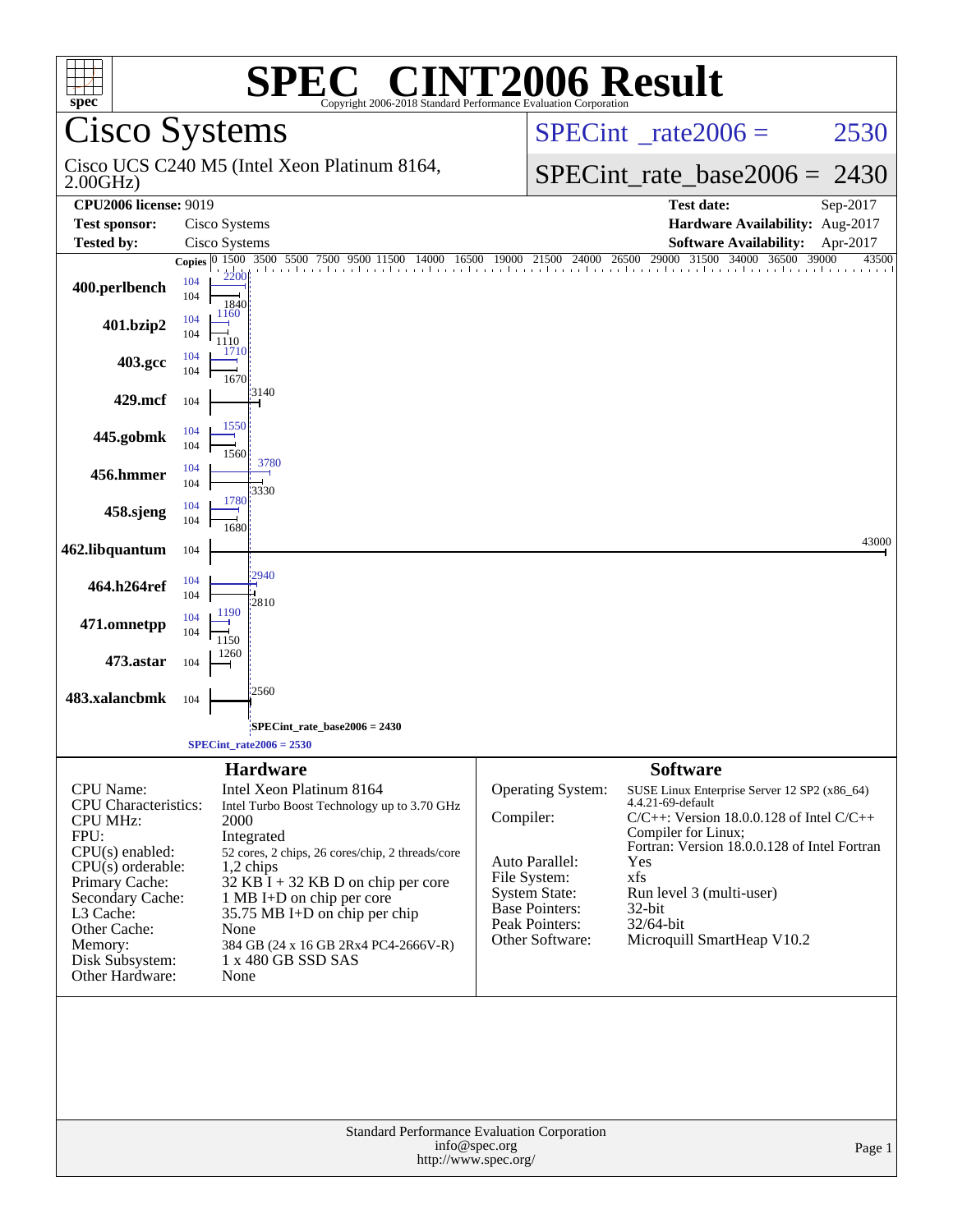| spec <sup>®</sup>                              |                                     | $\blacksquare$<br>H.<br>Copyright 2006-2018 Standard Performance Evaluation Corporation               | <b>INT2006 Result</b>                                                                |                                                                    |                |
|------------------------------------------------|-------------------------------------|-------------------------------------------------------------------------------------------------------|--------------------------------------------------------------------------------------|--------------------------------------------------------------------|----------------|
| <b>Cisco Systems</b>                           |                                     |                                                                                                       |                                                                                      | $SPECint^{\circ}$ rate 2006 =                                      | 2530           |
| 2.00GHz                                        |                                     | Cisco UCS C240 M5 (Intel Xeon Platinum 8164,                                                          |                                                                                      | $SPECint_rate_base2006 = 2430$                                     |                |
| <b>CPU2006</b> license: 9019                   |                                     |                                                                                                       |                                                                                      | <b>Test date:</b>                                                  | Sep-2017       |
| <b>Test sponsor:</b>                           | Cisco Systems                       |                                                                                                       |                                                                                      | Hardware Availability: Aug-2017                                    | Apr-2017       |
| <b>Tested by:</b>                              | Cisco Systems<br>Copies 0 1500 3500 | 5500 7500<br>16500<br>14000                                                                           | 19000 21500 24000 26500 29000                                                        | <b>Software Availability:</b><br>31500<br>34000 36500              | 39000<br>43500 |
| 400.perlbench                                  | 2200<br>104<br>104<br>1840          | The effective direction of the collection of the collected benefit to the collected and the collected |                                                                                      |                                                                    |                |
| 401.bzip2                                      | 1160<br>104<br>104<br>1110<br>1710  |                                                                                                       |                                                                                      |                                                                    |                |
| 403.gcc                                        | 104<br>104<br>1670                  |                                                                                                       |                                                                                      |                                                                    |                |
| 429.mcf                                        | 104                                 | 13140                                                                                                 |                                                                                      |                                                                    |                |
| 445.gobmk                                      | 1550<br>104<br>104<br>1560          | 3780                                                                                                  |                                                                                      |                                                                    |                |
| 456.hmmer                                      | 104<br>104<br>1780                  | 3330                                                                                                  |                                                                                      |                                                                    |                |
| 458.sjeng                                      | 104<br>104<br>1680                  |                                                                                                       |                                                                                      |                                                                    | 43000          |
| 462.libquantum                                 | 104                                 |                                                                                                       |                                                                                      |                                                                    |                |
| 464.h264ref                                    | 104<br>104<br>1190                  | 2940<br>2810                                                                                          |                                                                                      |                                                                    |                |
| 471.omnetpp                                    | 104<br>104<br>1150                  |                                                                                                       |                                                                                      |                                                                    |                |
| 473.astar                                      | 1260<br>104                         |                                                                                                       |                                                                                      |                                                                    |                |
| 483.xalancbmk                                  | 104                                 | 2560                                                                                                  |                                                                                      |                                                                    |                |
|                                                |                                     | SPECint_rate_base2006 = 2430<br>$SPECint_rate2006 = 2530$                                             |                                                                                      |                                                                    |                |
|                                                |                                     | <b>Hardware</b>                                                                                       |                                                                                      | <b>Software</b>                                                    |                |
| CPU Name:                                      |                                     | Intel Xeon Platinum 8164                                                                              | Operating System:                                                                    | SUSE Linux Enterprise Server 12 SP2 (x86_64)                       |                |
| <b>CPU</b> Characteristics:<br><b>CPU MHz:</b> | 2000                                | Intel Turbo Boost Technology up to 3.70 GHz                                                           | Compiler:                                                                            | 4.4.21-69-default<br>$C/C++$ : Version 18.0.0.128 of Intel $C/C++$ |                |
| FPU:                                           |                                     | Integrated                                                                                            |                                                                                      | Compiler for Linux;                                                |                |
| CPU(s) enabled:<br>$CPU(s)$ orderable:         |                                     | 52 cores, 2 chips, 26 cores/chip, 2 threads/core<br>$1,2$ chips                                       | Auto Parallel:                                                                       | Fortran: Version 18.0.0.128 of Intel Fortran<br>Yes                |                |
| Primary Cache:                                 |                                     | $32$ KB I + 32 KB D on chip per core                                                                  | File System:                                                                         | xfs                                                                |                |
| Secondary Cache:<br>L3 Cache:                  |                                     | 1 MB I+D on chip per core<br>35.75 MB I+D on chip per chip                                            | <b>System State:</b><br><b>Base Pointers:</b>                                        | Run level 3 (multi-user)<br>$32$ -bit                              |                |
| Other Cache:                                   | None                                |                                                                                                       | Peak Pointers:<br>Other Software:                                                    | 32/64-bit                                                          |                |
| Memory:<br>Disk Subsystem:                     |                                     | 384 GB (24 x 16 GB 2Rx4 PC4-2666V-R)<br>1 x 480 GB SSD SAS                                            |                                                                                      | Microquill SmartHeap V10.2                                         |                |
| Other Hardware:                                | None                                |                                                                                                       |                                                                                      |                                                                    |                |
|                                                |                                     |                                                                                                       |                                                                                      |                                                                    |                |
|                                                |                                     |                                                                                                       | Standard Performance Evaluation Corporation<br>info@spec.org<br>http://www.spec.org/ |                                                                    | Page 1         |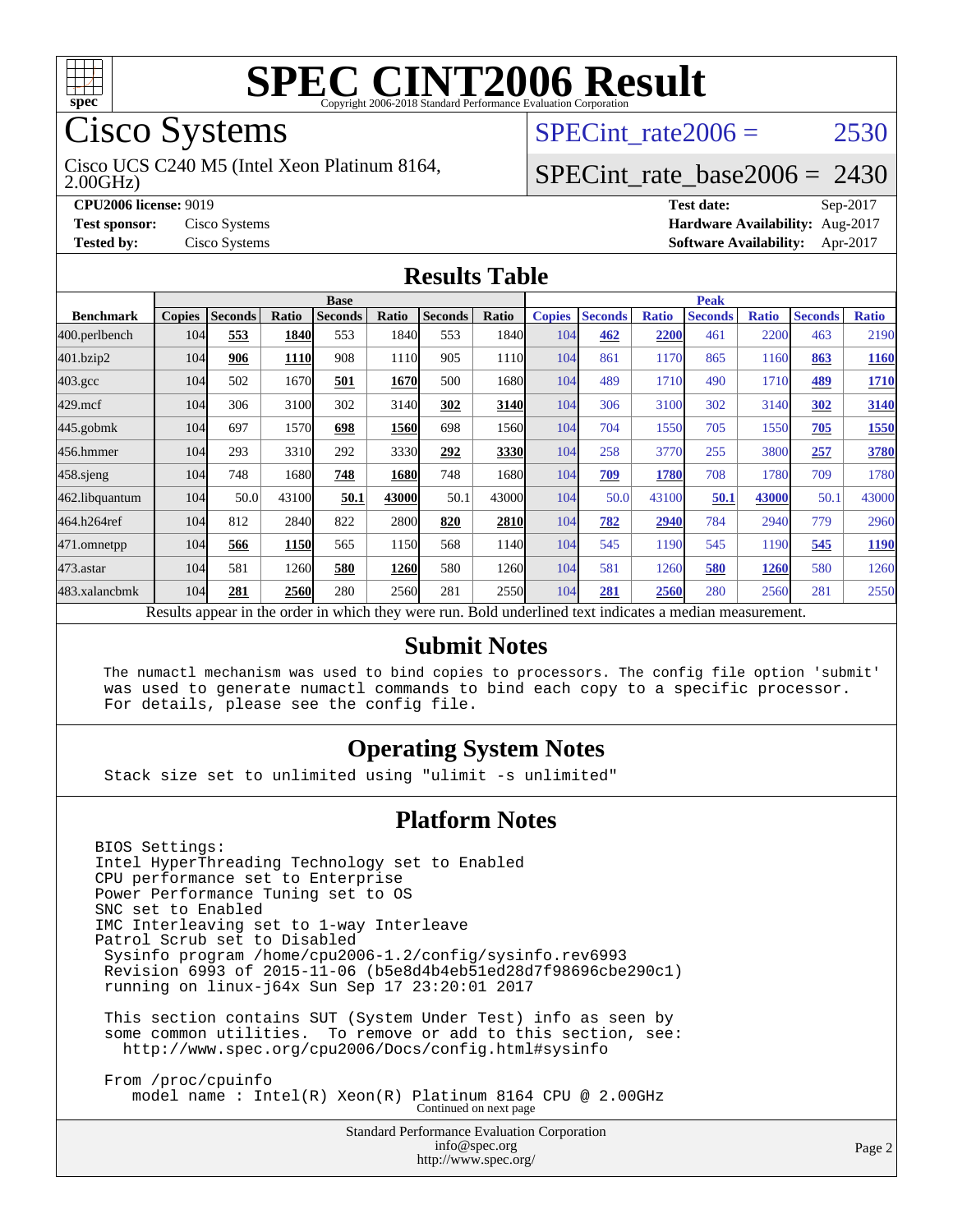

## Cisco Systems

2.00GHz) Cisco UCS C240 M5 (Intel Xeon Platinum 8164, SPECint rate $2006 = 2530$ 

### [SPECint\\_rate\\_base2006 =](http://www.spec.org/auto/cpu2006/Docs/result-fields.html#SPECintratebase2006) 2430

**[CPU2006 license:](http://www.spec.org/auto/cpu2006/Docs/result-fields.html#CPU2006license)** 9019 **[Test date:](http://www.spec.org/auto/cpu2006/Docs/result-fields.html#Testdate)** Sep-2017 **[Test sponsor:](http://www.spec.org/auto/cpu2006/Docs/result-fields.html#Testsponsor)** Cisco Systems **[Hardware Availability:](http://www.spec.org/auto/cpu2006/Docs/result-fields.html#HardwareAvailability)** Aug-2017 **[Tested by:](http://www.spec.org/auto/cpu2006/Docs/result-fields.html#Testedby)** Cisco Systems **[Software Availability:](http://www.spec.org/auto/cpu2006/Docs/result-fields.html#SoftwareAvailability)** Apr-2017

#### **[Results Table](http://www.spec.org/auto/cpu2006/Docs/result-fields.html#ResultsTable)**

|                                                                                                          | <b>Base</b>   |                |       |                |       |                |               | <b>Peak</b>   |                |              |                |              |                |              |
|----------------------------------------------------------------------------------------------------------|---------------|----------------|-------|----------------|-------|----------------|---------------|---------------|----------------|--------------|----------------|--------------|----------------|--------------|
| <b>Benchmark</b>                                                                                         | <b>Copies</b> | <b>Seconds</b> | Ratio | <b>Seconds</b> | Ratio | <b>Seconds</b> | Ratio         | <b>Copies</b> | <b>Seconds</b> | <b>Ratio</b> | <b>Seconds</b> | <b>Ratio</b> | <b>Seconds</b> | <b>Ratio</b> |
| 400.perlbench                                                                                            | 104           | 553            | 1840  | 553            | 1840  | 553            | 1840 <b> </b> | 104           | 462            | 2200         | 461            | 2200         | 463            | 2190         |
| 401.bzip2                                                                                                | 104           | 906            | 1110  | 908            | 1110  | 905            | 1110          | 104           | 861            | 1170         | 865            | 1160         | 863            | 1160         |
| $403.\mathrm{gcc}$                                                                                       | 104           | 502            | 1670  | 501            | 1670  | 500            | 1680          | 104           | 489            | 1710         | 490            | 1710         | <u>489</u>     | 1710         |
| $429$ .mcf                                                                                               | 104           | 306            | 3100  | 302            | 3140  | 302            | 3140          | 104           | 306            | 3100         | 302            | 3140         | 302            | 3140         |
| $445$ .gobm $k$                                                                                          | 104           | 697            | 1570  | 698            | 1560  | 698            | 15601         | 104           | 704            | 1550         | 705            | 1550         | 705            | 1550         |
| 456.hmmer                                                                                                | 104           | 293            | 3310  | 292            | 3330  | 292            | 3330          | 104           | 258            | 3770         | 255            | 3800         | 257            | 3780         |
| 458.sjeng                                                                                                | 104           | 748            | 1680  | 748            | 1680  | 748            | 1680l         | 104           | 709            | 1780         | 708            | 1780         | 709            | 1780         |
| 462.libquantum                                                                                           | 104           | 50.0           | 43100 | 50.1           | 43000 | 50.1           | 43000         | 104           | 50.0           | 43100        | 50.1           | 43000        | 50.1           | 43000        |
| 464.h264ref                                                                                              | 104           | 812            | 2840  | 822            | 2800  | 820            | 2810          | 104           | 782            | 2940         | 784            | 2940         | 779            | 2960         |
| 471.omnetpp                                                                                              | 104           | 566            | 1150  | 565            | 1150  | 568            | 1140          | 104           | 545            | 1190         | 545            | 1190         | 545            | 1190         |
| 473.astar                                                                                                | 104           | 581            | 1260  | 580            | 1260  | 580            | 12601         | 104           | 581            | 1260         | 580            | 1260         | 580            | 1260         |
| 483.xalancbmk                                                                                            | 104           | 281            | 2560  | 280            | 2560  | 281            | 2550          | 104           | 281            | 2560         | 280            | 2560         | 281            | 2550         |
| Results appear in the order in which they were run. Bold underlined text indicates a median measurement. |               |                |       |                |       |                |               |               |                |              |                |              |                |              |

#### **[Submit Notes](http://www.spec.org/auto/cpu2006/Docs/result-fields.html#SubmitNotes)**

 The numactl mechanism was used to bind copies to processors. The config file option 'submit' was used to generate numactl commands to bind each copy to a specific processor. For details, please see the config file.

### **[Operating System Notes](http://www.spec.org/auto/cpu2006/Docs/result-fields.html#OperatingSystemNotes)**

Stack size set to unlimited using "ulimit -s unlimited"

#### **[Platform Notes](http://www.spec.org/auto/cpu2006/Docs/result-fields.html#PlatformNotes)**

BIOS Settings: Intel HyperThreading Technology set to Enabled CPU performance set to Enterprise Power Performance Tuning set to OS SNC set to Enabled IMC Interleaving set to 1-way Interleave Patrol Scrub set to Disabled Sysinfo program /home/cpu2006-1.2/config/sysinfo.rev6993 Revision 6993 of 2015-11-06 (b5e8d4b4eb51ed28d7f98696cbe290c1) running on linux-j64x Sun Sep 17 23:20:01 2017 This section contains SUT (System Under Test) info as seen by some common utilities. To remove or add to this section, see: <http://www.spec.org/cpu2006/Docs/config.html#sysinfo> From /proc/cpuinfo

 model name : Intel(R) Xeon(R) Platinum 8164 CPU @ 2.00GHz Continued on next page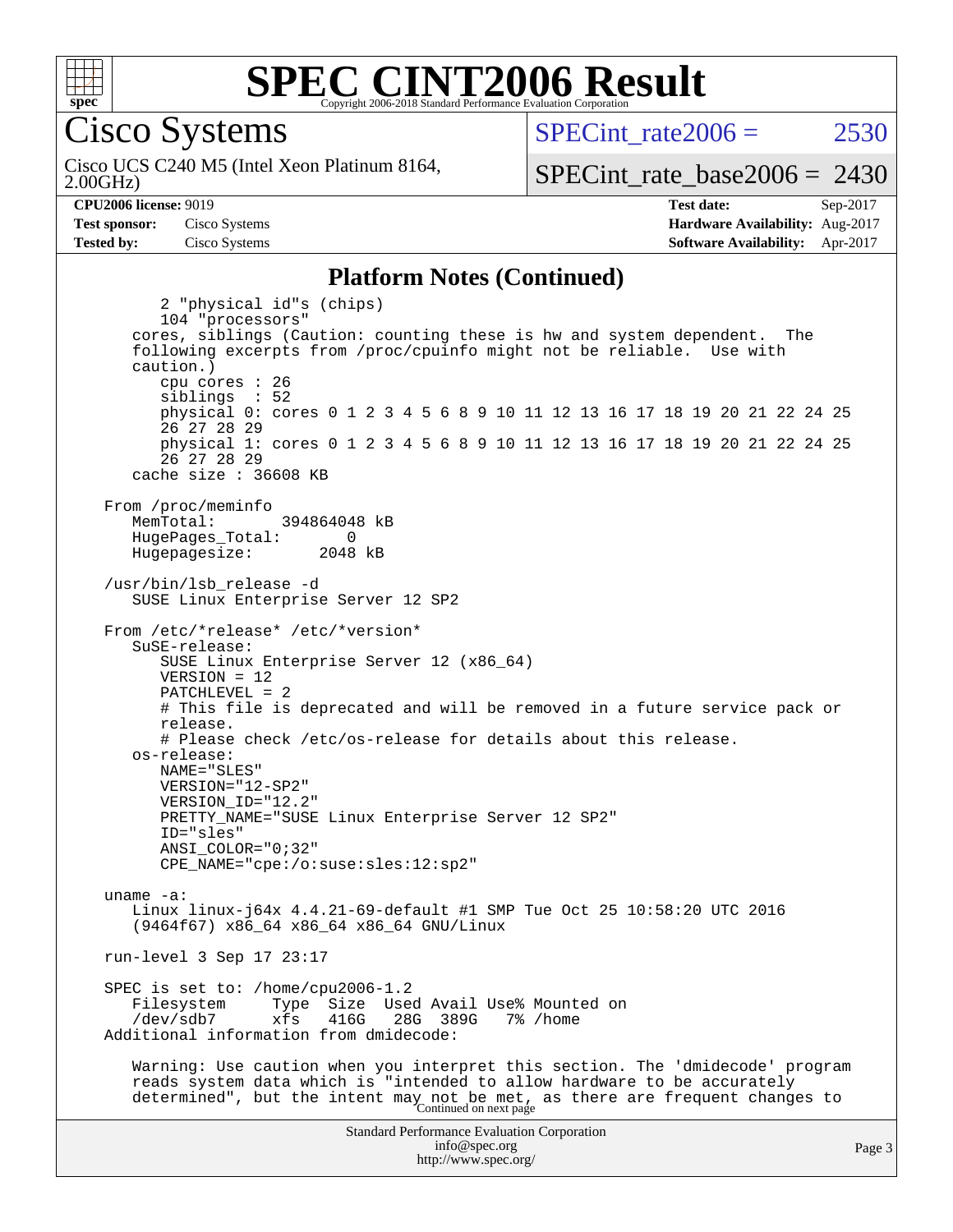

#### **[SPEC CINT2006 Result](http://www.spec.org/auto/cpu2006/Docs/result-fields.html#SPECCINT2006Result)** Copyright 2006-2018 Standard Performance Evaluation Corporation

Cisco Systems

Cisco UCS C240 M5 (Intel Xeon Platinum 8164,

 $SPECint rate2006 = 2530$ 

[SPECint\\_rate\\_base2006 =](http://www.spec.org/auto/cpu2006/Docs/result-fields.html#SPECintratebase2006) 2430

2.00GHz)

**[CPU2006 license:](http://www.spec.org/auto/cpu2006/Docs/result-fields.html#CPU2006license)** 9019 **[Test date:](http://www.spec.org/auto/cpu2006/Docs/result-fields.html#Testdate)** Sep-2017 **[Test sponsor:](http://www.spec.org/auto/cpu2006/Docs/result-fields.html#Testsponsor)** Cisco Systems **[Hardware Availability:](http://www.spec.org/auto/cpu2006/Docs/result-fields.html#HardwareAvailability)** Aug-2017 **[Tested by:](http://www.spec.org/auto/cpu2006/Docs/result-fields.html#Testedby)** Cisco Systems **[Software Availability:](http://www.spec.org/auto/cpu2006/Docs/result-fields.html#SoftwareAvailability)** Apr-2017

#### **[Platform Notes \(Continued\)](http://www.spec.org/auto/cpu2006/Docs/result-fields.html#PlatformNotes)**

Standard Performance Evaluation Corporation [info@spec.org](mailto:info@spec.org) 2 "physical id"s (chips) 104 "processors" cores, siblings (Caution: counting these is hw and system dependent. The following excerpts from /proc/cpuinfo might not be reliable. Use with caution.) cpu cores : 26 siblings : 52 physical 0: cores 0 1 2 3 4 5 6 8 9 10 11 12 13 16 17 18 19 20 21 22 24 25 26 27 28 29 physical 1: cores 0 1 2 3 4 5 6 8 9 10 11 12 13 16 17 18 19 20 21 22 24 25 26 27 28 29 cache size : 36608 KB From /proc/meminfo MemTotal: 394864048 kB HugePages\_Total: 0<br>Hugepagesize: 2048 kB Hugepagesize: /usr/bin/lsb\_release -d SUSE Linux Enterprise Server 12 SP2 From /etc/\*release\* /etc/\*version\* SuSE-release: SUSE Linux Enterprise Server 12 (x86\_64) VERSION = 12 PATCHLEVEL = 2 # This file is deprecated and will be removed in a future service pack or release. # Please check /etc/os-release for details about this release. os-release: NAME="SLES" VERSION="12-SP2" VERSION\_ID="12.2" PRETTY\_NAME="SUSE Linux Enterprise Server 12 SP2" ID="sles" ANSI\_COLOR="0;32" CPE\_NAME="cpe:/o:suse:sles:12:sp2" uname -a: Linux linux-j64x 4.4.21-69-default #1 SMP Tue Oct 25 10:58:20 UTC 2016 (9464f67) x86\_64 x86\_64 x86\_64 GNU/Linux run-level 3 Sep 17 23:17 SPEC is set to: /home/cpu2006-1.2 Filesystem Type Size Used Avail Use% Mounted on<br>
/dev/sdb7 xfs 416G 28G 389G 7% /home xfs 416G 28G 389G 7% /home Additional information from dmidecode: Warning: Use caution when you interpret this section. The 'dmidecode' program reads system data which is "intended to allow hardware to be accurately determined", but the intent may not be met, as there are frequent changes to<br>Continued on next page

<http://www.spec.org/>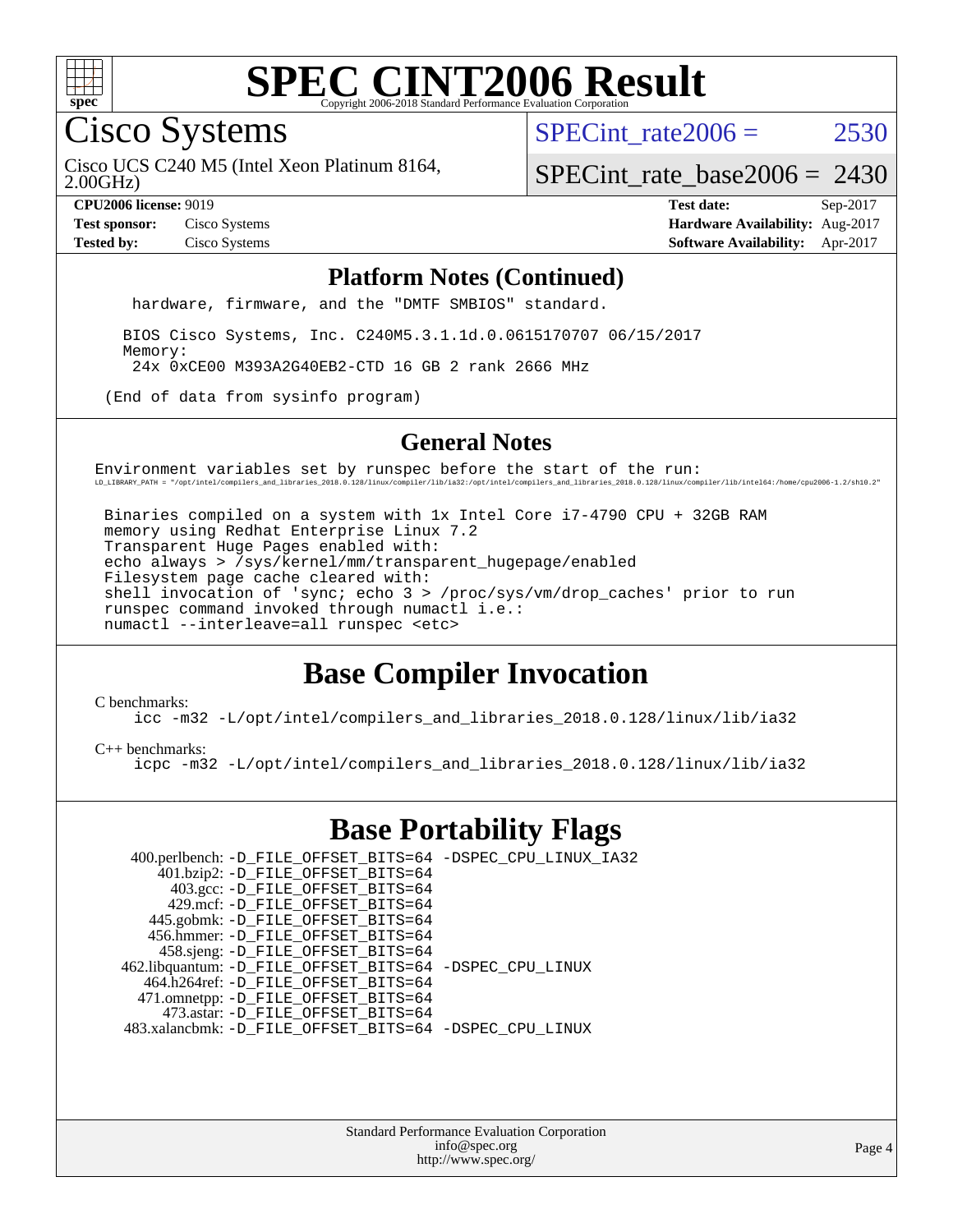

Cisco Systems

SPECint rate $2006 = 2530$ 

2.00GHz) Cisco UCS C240 M5 (Intel Xeon Platinum 8164,

[SPECint\\_rate\\_base2006 =](http://www.spec.org/auto/cpu2006/Docs/result-fields.html#SPECintratebase2006) 2430

**[CPU2006 license:](http://www.spec.org/auto/cpu2006/Docs/result-fields.html#CPU2006license)** 9019 **[Test date:](http://www.spec.org/auto/cpu2006/Docs/result-fields.html#Testdate)** Sep-2017 **[Test sponsor:](http://www.spec.org/auto/cpu2006/Docs/result-fields.html#Testsponsor)** Cisco Systems **[Hardware Availability:](http://www.spec.org/auto/cpu2006/Docs/result-fields.html#HardwareAvailability)** Aug-2017 **[Tested by:](http://www.spec.org/auto/cpu2006/Docs/result-fields.html#Testedby)** Cisco Systems **[Software Availability:](http://www.spec.org/auto/cpu2006/Docs/result-fields.html#SoftwareAvailability)** Apr-2017

#### **[Platform Notes \(Continued\)](http://www.spec.org/auto/cpu2006/Docs/result-fields.html#PlatformNotes)**

hardware, firmware, and the "DMTF SMBIOS" standard.

 BIOS Cisco Systems, Inc. C240M5.3.1.1d.0.0615170707 06/15/2017 Memory: 24x 0xCE00 M393A2G40EB2-CTD 16 GB 2 rank 2666 MHz

(End of data from sysinfo program)

#### **[General Notes](http://www.spec.org/auto/cpu2006/Docs/result-fields.html#GeneralNotes)**

Environment variables set by runspec before the start of the run: LD\_LIBRARY\_PATH = "/opt/intel/compilers\_and\_libraries\_2018.0.128/linux/compiler/lib/ia32:/opt/intel/compilers\_and\_libraries\_2018.0.128/linux/compiler/lib/intel64:/home/cpu2006-1.2/sh10.2"

 Binaries compiled on a system with 1x Intel Core i7-4790 CPU + 32GB RAM memory using Redhat Enterprise Linux 7.2 Transparent Huge Pages enabled with: echo always > /sys/kernel/mm/transparent\_hugepage/enabled Filesystem page cache cleared with: shell invocation of 'sync; echo 3 > /proc/sys/vm/drop\_caches' prior to run runspec command invoked through numactl i.e.: numactl --interleave=all runspec <etc>

## **[Base Compiler Invocation](http://www.spec.org/auto/cpu2006/Docs/result-fields.html#BaseCompilerInvocation)**

[C benchmarks](http://www.spec.org/auto/cpu2006/Docs/result-fields.html#Cbenchmarks):

[icc -m32 -L/opt/intel/compilers\\_and\\_libraries\\_2018.0.128/linux/lib/ia32](http://www.spec.org/cpu2006/results/res2017q4/cpu2006-20170919-50199.flags.html#user_CCbase_intel_icc_d8e8f6a4b36b728553491e0073ea91df)

#### [C++ benchmarks:](http://www.spec.org/auto/cpu2006/Docs/result-fields.html#CXXbenchmarks)

[icpc -m32 -L/opt/intel/compilers\\_and\\_libraries\\_2018.0.128/linux/lib/ia32](http://www.spec.org/cpu2006/results/res2017q4/cpu2006-20170919-50199.flags.html#user_CXXbase_intel_icpc_8a448d556440854dcad1d8cbb75a36c9)

### **[Base Portability Flags](http://www.spec.org/auto/cpu2006/Docs/result-fields.html#BasePortabilityFlags)**

| 400.perlbench: -D_FILE_OFFSET_BITS=64 -DSPEC_CPU_LINUX_IA32 |  |
|-------------------------------------------------------------|--|
| 401.bzip2: -D_FILE_OFFSET_BITS=64                           |  |
| 403.gcc: -D_FILE_OFFSET_BITS=64                             |  |
| 429.mcf: -D FILE OFFSET BITS=64                             |  |
| 445.gobmk: -D_FILE_OFFSET_BITS=64                           |  |
| 456.hmmer: -D FILE OFFSET BITS=64                           |  |
| 458.sjeng: -D_FILE_OFFSET_BITS=64                           |  |
| 462.libquantum: -D_FILE_OFFSET_BITS=64 -DSPEC_CPU_LINUX     |  |
| 464.h264ref: -D_FILE_OFFSET_BITS=64                         |  |
| 471.omnetpp: -D_FILE_OFFSET_BITS=64                         |  |
| 473.astar: -D FILE OFFSET BITS=64                           |  |
| 483.xalancbmk: -D FILE OFFSET BITS=64 -DSPEC CPU LINUX      |  |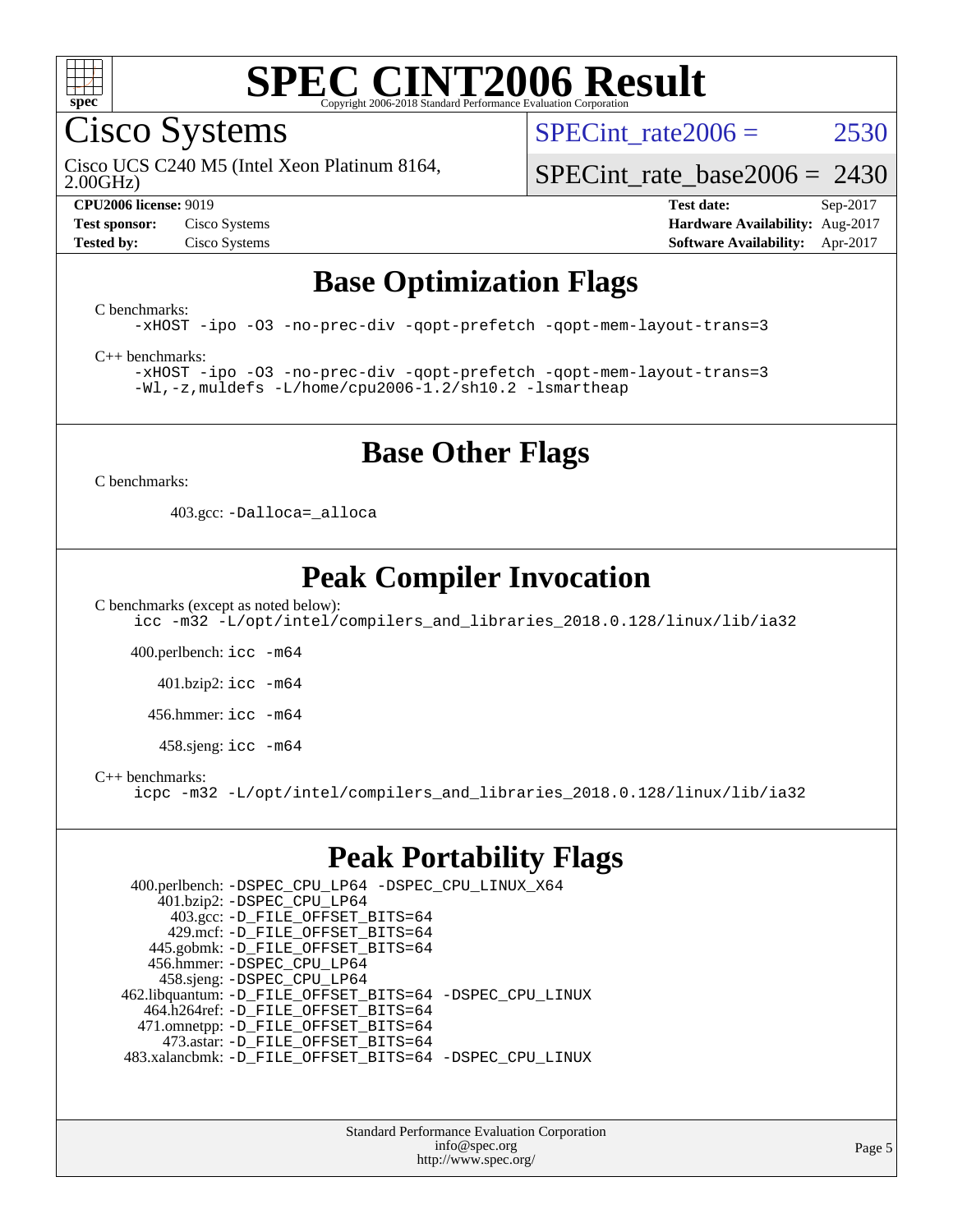

Cisco Systems

SPECint rate $2006 = 2530$ 

2.00GHz) Cisco UCS C240 M5 (Intel Xeon Platinum 8164,

[SPECint\\_rate\\_base2006 =](http://www.spec.org/auto/cpu2006/Docs/result-fields.html#SPECintratebase2006) 2430

#### **[CPU2006 license:](http://www.spec.org/auto/cpu2006/Docs/result-fields.html#CPU2006license)** 9019 **[Test date:](http://www.spec.org/auto/cpu2006/Docs/result-fields.html#Testdate)** Sep-2017 **[Test sponsor:](http://www.spec.org/auto/cpu2006/Docs/result-fields.html#Testsponsor)** Cisco Systems **[Hardware Availability:](http://www.spec.org/auto/cpu2006/Docs/result-fields.html#HardwareAvailability)** Aug-2017 **[Tested by:](http://www.spec.org/auto/cpu2006/Docs/result-fields.html#Testedby)** Cisco Systems **[Software Availability:](http://www.spec.org/auto/cpu2006/Docs/result-fields.html#SoftwareAvailability)** Apr-2017

## **[Base Optimization Flags](http://www.spec.org/auto/cpu2006/Docs/result-fields.html#BaseOptimizationFlags)**

[C benchmarks](http://www.spec.org/auto/cpu2006/Docs/result-fields.html#Cbenchmarks):

[-xHOST](http://www.spec.org/cpu2006/results/res2017q4/cpu2006-20170919-50199.flags.html#user_CCbase_f-xHost_e62ac3e528d1159ebbc7507f5617393f) [-ipo](http://www.spec.org/cpu2006/results/res2017q4/cpu2006-20170919-50199.flags.html#user_CCbase_f-ipo) [-O3](http://www.spec.org/cpu2006/results/res2017q4/cpu2006-20170919-50199.flags.html#user_CCbase_f-O3) [-no-prec-div](http://www.spec.org/cpu2006/results/res2017q4/cpu2006-20170919-50199.flags.html#user_CCbase_f-no-prec-div) [-qopt-prefetch](http://www.spec.org/cpu2006/results/res2017q4/cpu2006-20170919-50199.flags.html#user_CCbase_f-qopt-prefetch) [-qopt-mem-layout-trans=3](http://www.spec.org/cpu2006/results/res2017q4/cpu2006-20170919-50199.flags.html#user_CCbase_f-qopt-mem-layout-trans_170f5be61cd2cedc9b54468c59262d5d)

[C++ benchmarks:](http://www.spec.org/auto/cpu2006/Docs/result-fields.html#CXXbenchmarks)

[-xHOST](http://www.spec.org/cpu2006/results/res2017q4/cpu2006-20170919-50199.flags.html#user_CXXbase_f-xHost_e62ac3e528d1159ebbc7507f5617393f) [-ipo](http://www.spec.org/cpu2006/results/res2017q4/cpu2006-20170919-50199.flags.html#user_CXXbase_f-ipo) [-O3](http://www.spec.org/cpu2006/results/res2017q4/cpu2006-20170919-50199.flags.html#user_CXXbase_f-O3) [-no-prec-div](http://www.spec.org/cpu2006/results/res2017q4/cpu2006-20170919-50199.flags.html#user_CXXbase_f-no-prec-div) [-qopt-prefetch](http://www.spec.org/cpu2006/results/res2017q4/cpu2006-20170919-50199.flags.html#user_CXXbase_f-qopt-prefetch) [-qopt-mem-layout-trans=3](http://www.spec.org/cpu2006/results/res2017q4/cpu2006-20170919-50199.flags.html#user_CXXbase_f-qopt-mem-layout-trans_170f5be61cd2cedc9b54468c59262d5d) [-Wl,-z,muldefs](http://www.spec.org/cpu2006/results/res2017q4/cpu2006-20170919-50199.flags.html#user_CXXbase_link_force_multiple1_74079c344b956b9658436fd1b6dd3a8a) [-L/home/cpu2006-1.2/sh10.2 -lsmartheap](http://www.spec.org/cpu2006/results/res2017q4/cpu2006-20170919-50199.flags.html#user_CXXbase_SmartHeap_5706a66a2f6a219cbb238ac92a73101d)

## **[Base Other Flags](http://www.spec.org/auto/cpu2006/Docs/result-fields.html#BaseOtherFlags)**

[C benchmarks](http://www.spec.org/auto/cpu2006/Docs/result-fields.html#Cbenchmarks):

403.gcc: [-Dalloca=\\_alloca](http://www.spec.org/cpu2006/results/res2017q4/cpu2006-20170919-50199.flags.html#b403.gcc_baseEXTRA_CFLAGS_Dalloca_be3056838c12de2578596ca5467af7f3)

## **[Peak Compiler Invocation](http://www.spec.org/auto/cpu2006/Docs/result-fields.html#PeakCompilerInvocation)**

[C benchmarks \(except as noted below\)](http://www.spec.org/auto/cpu2006/Docs/result-fields.html#Cbenchmarksexceptasnotedbelow):

[icc -m32 -L/opt/intel/compilers\\_and\\_libraries\\_2018.0.128/linux/lib/ia32](http://www.spec.org/cpu2006/results/res2017q4/cpu2006-20170919-50199.flags.html#user_CCpeak_intel_icc_d8e8f6a4b36b728553491e0073ea91df)

400.perlbench: [icc -m64](http://www.spec.org/cpu2006/results/res2017q4/cpu2006-20170919-50199.flags.html#user_peakCCLD400_perlbench_intel_icc_64bit_bda6cc9af1fdbb0edc3795bac97ada53)

401.bzip2: [icc -m64](http://www.spec.org/cpu2006/results/res2017q4/cpu2006-20170919-50199.flags.html#user_peakCCLD401_bzip2_intel_icc_64bit_bda6cc9af1fdbb0edc3795bac97ada53)

456.hmmer: [icc -m64](http://www.spec.org/cpu2006/results/res2017q4/cpu2006-20170919-50199.flags.html#user_peakCCLD456_hmmer_intel_icc_64bit_bda6cc9af1fdbb0edc3795bac97ada53)

 $458 \text{.}$ sjeng: icc  $-\text{m64}$ 

[C++ benchmarks:](http://www.spec.org/auto/cpu2006/Docs/result-fields.html#CXXbenchmarks)

[icpc -m32 -L/opt/intel/compilers\\_and\\_libraries\\_2018.0.128/linux/lib/ia32](http://www.spec.org/cpu2006/results/res2017q4/cpu2006-20170919-50199.flags.html#user_CXXpeak_intel_icpc_8a448d556440854dcad1d8cbb75a36c9)

### **[Peak Portability Flags](http://www.spec.org/auto/cpu2006/Docs/result-fields.html#PeakPortabilityFlags)**

 400.perlbench: [-DSPEC\\_CPU\\_LP64](http://www.spec.org/cpu2006/results/res2017q4/cpu2006-20170919-50199.flags.html#b400.perlbench_peakCPORTABILITY_DSPEC_CPU_LP64) [-DSPEC\\_CPU\\_LINUX\\_X64](http://www.spec.org/cpu2006/results/res2017q4/cpu2006-20170919-50199.flags.html#b400.perlbench_peakCPORTABILITY_DSPEC_CPU_LINUX_X64) 401.bzip2: [-DSPEC\\_CPU\\_LP64](http://www.spec.org/cpu2006/results/res2017q4/cpu2006-20170919-50199.flags.html#suite_peakCPORTABILITY401_bzip2_DSPEC_CPU_LP64) 403.gcc: [-D\\_FILE\\_OFFSET\\_BITS=64](http://www.spec.org/cpu2006/results/res2017q4/cpu2006-20170919-50199.flags.html#user_peakPORTABILITY403_gcc_file_offset_bits_64_438cf9856305ebd76870a2c6dc2689ab) 429.mcf: [-D\\_FILE\\_OFFSET\\_BITS=64](http://www.spec.org/cpu2006/results/res2017q4/cpu2006-20170919-50199.flags.html#user_peakPORTABILITY429_mcf_file_offset_bits_64_438cf9856305ebd76870a2c6dc2689ab) 445.gobmk: [-D\\_FILE\\_OFFSET\\_BITS=64](http://www.spec.org/cpu2006/results/res2017q4/cpu2006-20170919-50199.flags.html#user_peakPORTABILITY445_gobmk_file_offset_bits_64_438cf9856305ebd76870a2c6dc2689ab) 456.hmmer: [-DSPEC\\_CPU\\_LP64](http://www.spec.org/cpu2006/results/res2017q4/cpu2006-20170919-50199.flags.html#suite_peakCPORTABILITY456_hmmer_DSPEC_CPU_LP64) 458.sjeng: [-DSPEC\\_CPU\\_LP64](http://www.spec.org/cpu2006/results/res2017q4/cpu2006-20170919-50199.flags.html#suite_peakCPORTABILITY458_sjeng_DSPEC_CPU_LP64) 462.libquantum: [-D\\_FILE\\_OFFSET\\_BITS=64](http://www.spec.org/cpu2006/results/res2017q4/cpu2006-20170919-50199.flags.html#user_peakPORTABILITY462_libquantum_file_offset_bits_64_438cf9856305ebd76870a2c6dc2689ab) [-DSPEC\\_CPU\\_LINUX](http://www.spec.org/cpu2006/results/res2017q4/cpu2006-20170919-50199.flags.html#b462.libquantum_peakCPORTABILITY_DSPEC_CPU_LINUX) 464.h264ref: [-D\\_FILE\\_OFFSET\\_BITS=64](http://www.spec.org/cpu2006/results/res2017q4/cpu2006-20170919-50199.flags.html#user_peakPORTABILITY464_h264ref_file_offset_bits_64_438cf9856305ebd76870a2c6dc2689ab) 471.omnetpp: [-D\\_FILE\\_OFFSET\\_BITS=64](http://www.spec.org/cpu2006/results/res2017q4/cpu2006-20170919-50199.flags.html#user_peakPORTABILITY471_omnetpp_file_offset_bits_64_438cf9856305ebd76870a2c6dc2689ab) 473.astar: [-D\\_FILE\\_OFFSET\\_BITS=64](http://www.spec.org/cpu2006/results/res2017q4/cpu2006-20170919-50199.flags.html#user_peakPORTABILITY473_astar_file_offset_bits_64_438cf9856305ebd76870a2c6dc2689ab) 483.xalancbmk: [-D\\_FILE\\_OFFSET\\_BITS=64](http://www.spec.org/cpu2006/results/res2017q4/cpu2006-20170919-50199.flags.html#user_peakPORTABILITY483_xalancbmk_file_offset_bits_64_438cf9856305ebd76870a2c6dc2689ab) [-DSPEC\\_CPU\\_LINUX](http://www.spec.org/cpu2006/results/res2017q4/cpu2006-20170919-50199.flags.html#b483.xalancbmk_peakCXXPORTABILITY_DSPEC_CPU_LINUX)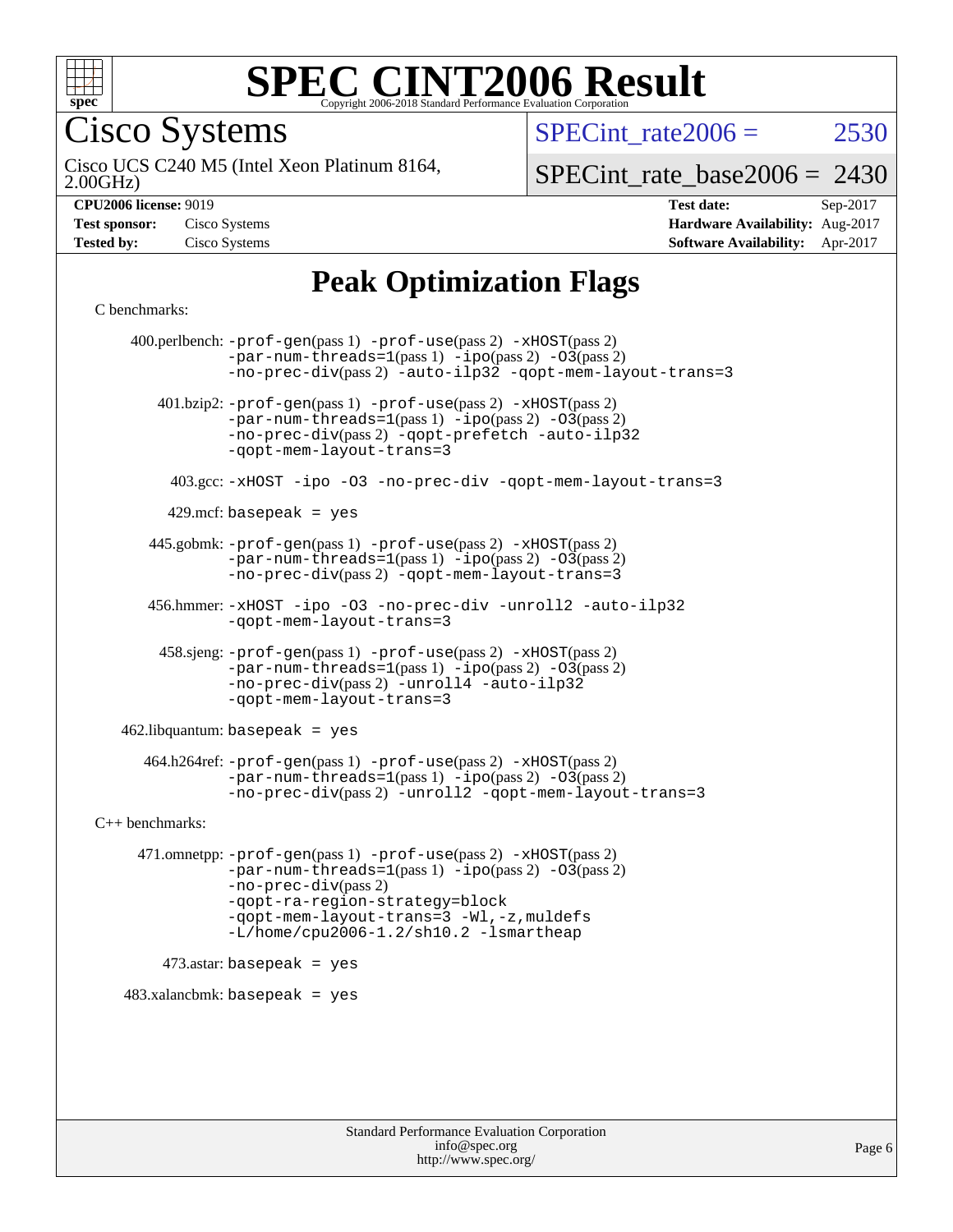

Cisco Systems

SPECint rate $2006 = 2530$ 

2.00GHz) Cisco UCS C240 M5 (Intel Xeon Platinum 8164,

[SPECint\\_rate\\_base2006 =](http://www.spec.org/auto/cpu2006/Docs/result-fields.html#SPECintratebase2006) 2430

**[Hardware Availability:](http://www.spec.org/auto/cpu2006/Docs/result-fields.html#HardwareAvailability)** Aug-2017 **[Software Availability:](http://www.spec.org/auto/cpu2006/Docs/result-fields.html#SoftwareAvailability)** Apr-2017

**[CPU2006 license:](http://www.spec.org/auto/cpu2006/Docs/result-fields.html#CPU2006license)** 9019 **[Test date:](http://www.spec.org/auto/cpu2006/Docs/result-fields.html#Testdate)** Sep-2017

| <b>Test sponsor:</b> | Cisco Systems |
|----------------------|---------------|
| <b>Tested by:</b>    | Cisco Systems |

## **[Peak Optimization Flags](http://www.spec.org/auto/cpu2006/Docs/result-fields.html#PeakOptimizationFlags)**

[C benchmarks](http://www.spec.org/auto/cpu2006/Docs/result-fields.html#Cbenchmarks):

 400.perlbench: [-prof-gen](http://www.spec.org/cpu2006/results/res2017q4/cpu2006-20170919-50199.flags.html#user_peakPASS1_CFLAGSPASS1_LDCFLAGS400_perlbench_prof_gen_e43856698f6ca7b7e442dfd80e94a8fc)(pass 1) [-prof-use](http://www.spec.org/cpu2006/results/res2017q4/cpu2006-20170919-50199.flags.html#user_peakPASS2_CFLAGSPASS2_LDCFLAGS400_perlbench_prof_use_bccf7792157ff70d64e32fe3e1250b55)(pass 2) [-xHOST](http://www.spec.org/cpu2006/results/res2017q4/cpu2006-20170919-50199.flags.html#user_peakPASS2_CFLAGSPASS2_LDCFLAGS400_perlbench_f-xHost_e62ac3e528d1159ebbc7507f5617393f)(pass 2)  $-par-num-threads=1(pass 1) -ipo(pass 2) -O3(pass 2)$  $-par-num-threads=1(pass 1) -ipo(pass 2) -O3(pass 2)$  $-par-num-threads=1(pass 1) -ipo(pass 2) -O3(pass 2)$  $-par-num-threads=1(pass 1) -ipo(pass 2) -O3(pass 2)$  $-par-num-threads=1(pass 1) -ipo(pass 2) -O3(pass 2)$  $-par-num-threads=1(pass 1) -ipo(pass 2) -O3(pass 2)$ [-no-prec-div](http://www.spec.org/cpu2006/results/res2017q4/cpu2006-20170919-50199.flags.html#user_peakPASS2_CFLAGSPASS2_LDCFLAGS400_perlbench_f-no-prec-div)(pass 2) [-auto-ilp32](http://www.spec.org/cpu2006/results/res2017q4/cpu2006-20170919-50199.flags.html#user_peakCOPTIMIZE400_perlbench_f-auto-ilp32) [-qopt-mem-layout-trans=3](http://www.spec.org/cpu2006/results/res2017q4/cpu2006-20170919-50199.flags.html#user_peakCOPTIMIZE400_perlbench_f-qopt-mem-layout-trans_170f5be61cd2cedc9b54468c59262d5d) 401.bzip2: [-prof-gen](http://www.spec.org/cpu2006/results/res2017q4/cpu2006-20170919-50199.flags.html#user_peakPASS1_CFLAGSPASS1_LDCFLAGS401_bzip2_prof_gen_e43856698f6ca7b7e442dfd80e94a8fc)(pass 1) [-prof-use](http://www.spec.org/cpu2006/results/res2017q4/cpu2006-20170919-50199.flags.html#user_peakPASS2_CFLAGSPASS2_LDCFLAGS401_bzip2_prof_use_bccf7792157ff70d64e32fe3e1250b55)(pass 2) [-xHOST](http://www.spec.org/cpu2006/results/res2017q4/cpu2006-20170919-50199.flags.html#user_peakPASS2_CFLAGSPASS2_LDCFLAGS401_bzip2_f-xHost_e62ac3e528d1159ebbc7507f5617393f)(pass 2)  $-par-num-threads=1(pass 1) -ipo(pass 2) -O3(pass 2)$  $-par-num-threads=1(pass 1) -ipo(pass 2) -O3(pass 2)$  $-par-num-threads=1(pass 1) -ipo(pass 2) -O3(pass 2)$  $-par-num-threads=1(pass 1) -ipo(pass 2) -O3(pass 2)$  $-par-num-threads=1(pass 1) -ipo(pass 2) -O3(pass 2)$  $-par-num-threads=1(pass 1) -ipo(pass 2) -O3(pass 2)$ [-no-prec-div](http://www.spec.org/cpu2006/results/res2017q4/cpu2006-20170919-50199.flags.html#user_peakPASS2_CFLAGSPASS2_LDCFLAGS401_bzip2_f-no-prec-div)(pass 2) [-qopt-prefetch](http://www.spec.org/cpu2006/results/res2017q4/cpu2006-20170919-50199.flags.html#user_peakCOPTIMIZE401_bzip2_f-qopt-prefetch) [-auto-ilp32](http://www.spec.org/cpu2006/results/res2017q4/cpu2006-20170919-50199.flags.html#user_peakCOPTIMIZE401_bzip2_f-auto-ilp32) [-qopt-mem-layout-trans=3](http://www.spec.org/cpu2006/results/res2017q4/cpu2006-20170919-50199.flags.html#user_peakCOPTIMIZE401_bzip2_f-qopt-mem-layout-trans_170f5be61cd2cedc9b54468c59262d5d) 403.gcc: [-xHOST](http://www.spec.org/cpu2006/results/res2017q4/cpu2006-20170919-50199.flags.html#user_peakOPTIMIZE403_gcc_f-xHost_e62ac3e528d1159ebbc7507f5617393f) [-ipo](http://www.spec.org/cpu2006/results/res2017q4/cpu2006-20170919-50199.flags.html#user_peakOPTIMIZE403_gcc_f-ipo) [-O3](http://www.spec.org/cpu2006/results/res2017q4/cpu2006-20170919-50199.flags.html#user_peakOPTIMIZE403_gcc_f-O3) [-no-prec-div](http://www.spec.org/cpu2006/results/res2017q4/cpu2006-20170919-50199.flags.html#user_peakOPTIMIZE403_gcc_f-no-prec-div) [-qopt-mem-layout-trans=3](http://www.spec.org/cpu2006/results/res2017q4/cpu2006-20170919-50199.flags.html#user_peakCOPTIMIZE403_gcc_f-qopt-mem-layout-trans_170f5be61cd2cedc9b54468c59262d5d)  $429$ .mcf: basepeak = yes 445.gobmk: [-prof-gen](http://www.spec.org/cpu2006/results/res2017q4/cpu2006-20170919-50199.flags.html#user_peakPASS1_CFLAGSPASS1_LDCFLAGS445_gobmk_prof_gen_e43856698f6ca7b7e442dfd80e94a8fc)(pass 1) [-prof-use](http://www.spec.org/cpu2006/results/res2017q4/cpu2006-20170919-50199.flags.html#user_peakPASS2_CFLAGSPASS2_LDCFLAGSPASS2_LDFLAGS445_gobmk_prof_use_bccf7792157ff70d64e32fe3e1250b55)(pass 2) [-xHOST](http://www.spec.org/cpu2006/results/res2017q4/cpu2006-20170919-50199.flags.html#user_peakPASS2_CFLAGSPASS2_LDCFLAGSPASS2_LDFLAGS445_gobmk_f-xHost_e62ac3e528d1159ebbc7507f5617393f)(pass 2)  $-par-num-threads=1(pass 1) -ipo(pass 2) -O3(pass 2)$  $-par-num-threads=1(pass 1) -ipo(pass 2) -O3(pass 2)$  $-par-num-threads=1(pass 1) -ipo(pass 2) -O3(pass 2)$  $-par-num-threads=1(pass 1) -ipo(pass 2) -O3(pass 2)$  $-par-num-threads=1(pass 1) -ipo(pass 2) -O3(pass 2)$  $-par-num-threads=1(pass 1) -ipo(pass 2) -O3(pass 2)$ [-no-prec-div](http://www.spec.org/cpu2006/results/res2017q4/cpu2006-20170919-50199.flags.html#user_peakPASS2_LDCFLAGS445_gobmk_f-no-prec-div)(pass 2) [-qopt-mem-layout-trans=3](http://www.spec.org/cpu2006/results/res2017q4/cpu2006-20170919-50199.flags.html#user_peakCOPTIMIZE445_gobmk_f-qopt-mem-layout-trans_170f5be61cd2cedc9b54468c59262d5d) 456.hmmer: [-xHOST](http://www.spec.org/cpu2006/results/res2017q4/cpu2006-20170919-50199.flags.html#user_peakOPTIMIZE456_hmmer_f-xHost_e62ac3e528d1159ebbc7507f5617393f) [-ipo](http://www.spec.org/cpu2006/results/res2017q4/cpu2006-20170919-50199.flags.html#user_peakOPTIMIZE456_hmmer_f-ipo) [-O3](http://www.spec.org/cpu2006/results/res2017q4/cpu2006-20170919-50199.flags.html#user_peakOPTIMIZE456_hmmer_f-O3) [-no-prec-div](http://www.spec.org/cpu2006/results/res2017q4/cpu2006-20170919-50199.flags.html#user_peakOPTIMIZE456_hmmer_f-no-prec-div) [-unroll2](http://www.spec.org/cpu2006/results/res2017q4/cpu2006-20170919-50199.flags.html#user_peakCOPTIMIZE456_hmmer_f-unroll_784dae83bebfb236979b41d2422d7ec2) [-auto-ilp32](http://www.spec.org/cpu2006/results/res2017q4/cpu2006-20170919-50199.flags.html#user_peakCOPTIMIZE456_hmmer_f-auto-ilp32) [-qopt-mem-layout-trans=3](http://www.spec.org/cpu2006/results/res2017q4/cpu2006-20170919-50199.flags.html#user_peakCOPTIMIZE456_hmmer_f-qopt-mem-layout-trans_170f5be61cd2cedc9b54468c59262d5d) 458.sjeng: [-prof-gen](http://www.spec.org/cpu2006/results/res2017q4/cpu2006-20170919-50199.flags.html#user_peakPASS1_CFLAGSPASS1_LDCFLAGS458_sjeng_prof_gen_e43856698f6ca7b7e442dfd80e94a8fc)(pass 1) [-prof-use](http://www.spec.org/cpu2006/results/res2017q4/cpu2006-20170919-50199.flags.html#user_peakPASS2_CFLAGSPASS2_LDCFLAGS458_sjeng_prof_use_bccf7792157ff70d64e32fe3e1250b55)(pass 2) [-xHOST](http://www.spec.org/cpu2006/results/res2017q4/cpu2006-20170919-50199.flags.html#user_peakPASS2_CFLAGSPASS2_LDCFLAGS458_sjeng_f-xHost_e62ac3e528d1159ebbc7507f5617393f)(pass 2)  $-par-num-threads=1(pass 1) -ipo(pass 2) -O3(pass 2)$  $-par-num-threads=1(pass 1) -ipo(pass 2) -O3(pass 2)$  $-par-num-threads=1(pass 1) -ipo(pass 2) -O3(pass 2)$  $-par-num-threads=1(pass 1) -ipo(pass 2) -O3(pass 2)$  $-par-num-threads=1(pass 1) -ipo(pass 2) -O3(pass 2)$  $-par-num-threads=1(pass 1) -ipo(pass 2) -O3(pass 2)$ [-no-prec-div](http://www.spec.org/cpu2006/results/res2017q4/cpu2006-20170919-50199.flags.html#user_peakPASS2_CFLAGSPASS2_LDCFLAGS458_sjeng_f-no-prec-div)(pass 2) [-unroll4](http://www.spec.org/cpu2006/results/res2017q4/cpu2006-20170919-50199.flags.html#user_peakCOPTIMIZE458_sjeng_f-unroll_4e5e4ed65b7fd20bdcd365bec371b81f) [-auto-ilp32](http://www.spec.org/cpu2006/results/res2017q4/cpu2006-20170919-50199.flags.html#user_peakCOPTIMIZE458_sjeng_f-auto-ilp32) [-qopt-mem-layout-trans=3](http://www.spec.org/cpu2006/results/res2017q4/cpu2006-20170919-50199.flags.html#user_peakCOPTIMIZE458_sjeng_f-qopt-mem-layout-trans_170f5be61cd2cedc9b54468c59262d5d)  $462$ .libquantum: basepeak = yes 464.h264ref: [-prof-gen](http://www.spec.org/cpu2006/results/res2017q4/cpu2006-20170919-50199.flags.html#user_peakPASS1_CFLAGSPASS1_LDCFLAGS464_h264ref_prof_gen_e43856698f6ca7b7e442dfd80e94a8fc)(pass 1) [-prof-use](http://www.spec.org/cpu2006/results/res2017q4/cpu2006-20170919-50199.flags.html#user_peakPASS2_CFLAGSPASS2_LDCFLAGS464_h264ref_prof_use_bccf7792157ff70d64e32fe3e1250b55)(pass 2) [-xHOST](http://www.spec.org/cpu2006/results/res2017q4/cpu2006-20170919-50199.flags.html#user_peakPASS2_CFLAGSPASS2_LDCFLAGS464_h264ref_f-xHost_e62ac3e528d1159ebbc7507f5617393f)(pass 2)  $-par-num-threads=1(pass 1) -ipo(pass 2) -O3(pass 2)$  $-par-num-threads=1(pass 1) -ipo(pass 2) -O3(pass 2)$  $-par-num-threads=1(pass 1) -ipo(pass 2) -O3(pass 2)$  $-par-num-threads=1(pass 1) -ipo(pass 2) -O3(pass 2)$  $-par-num-threads=1(pass 1) -ipo(pass 2) -O3(pass 2)$  $-par-num-threads=1(pass 1) -ipo(pass 2) -O3(pass 2)$ [-no-prec-div](http://www.spec.org/cpu2006/results/res2017q4/cpu2006-20170919-50199.flags.html#user_peakPASS2_CFLAGSPASS2_LDCFLAGS464_h264ref_f-no-prec-div)(pass 2) [-unroll2](http://www.spec.org/cpu2006/results/res2017q4/cpu2006-20170919-50199.flags.html#user_peakCOPTIMIZE464_h264ref_f-unroll_784dae83bebfb236979b41d2422d7ec2) [-qopt-mem-layout-trans=3](http://www.spec.org/cpu2006/results/res2017q4/cpu2006-20170919-50199.flags.html#user_peakCOPTIMIZE464_h264ref_f-qopt-mem-layout-trans_170f5be61cd2cedc9b54468c59262d5d) [C++ benchmarks:](http://www.spec.org/auto/cpu2006/Docs/result-fields.html#CXXbenchmarks) 471.omnetpp: [-prof-gen](http://www.spec.org/cpu2006/results/res2017q4/cpu2006-20170919-50199.flags.html#user_peakPASS1_CXXFLAGSPASS1_LDCXXFLAGS471_omnetpp_prof_gen_e43856698f6ca7b7e442dfd80e94a8fc)(pass 1) [-prof-use](http://www.spec.org/cpu2006/results/res2017q4/cpu2006-20170919-50199.flags.html#user_peakPASS2_CXXFLAGSPASS2_LDCXXFLAGS471_omnetpp_prof_use_bccf7792157ff70d64e32fe3e1250b55)(pass 2) [-xHOST](http://www.spec.org/cpu2006/results/res2017q4/cpu2006-20170919-50199.flags.html#user_peakPASS2_CXXFLAGSPASS2_LDCXXFLAGS471_omnetpp_f-xHost_e62ac3e528d1159ebbc7507f5617393f)(pass 2)  $-par-num-threads=1(pass 1) -ipo(pass 2) -O3(pass 2)$  $-par-num-threads=1(pass 1) -ipo(pass 2) -O3(pass 2)$  $-par-num-threads=1(pass 1) -ipo(pass 2) -O3(pass 2)$  $-par-num-threads=1(pass 1) -ipo(pass 2) -O3(pass 2)$  $-par-num-threads=1(pass 1) -ipo(pass 2) -O3(pass 2)$  $-par-num-threads=1(pass 1) -ipo(pass 2) -O3(pass 2)$ [-no-prec-div](http://www.spec.org/cpu2006/results/res2017q4/cpu2006-20170919-50199.flags.html#user_peakPASS2_CXXFLAGSPASS2_LDCXXFLAGS471_omnetpp_f-no-prec-div)(pass 2) [-qopt-ra-region-strategy=block](http://www.spec.org/cpu2006/results/res2017q4/cpu2006-20170919-50199.flags.html#user_peakCXXOPTIMIZE471_omnetpp_f-qopt-ra-region-strategy_430aa8f7c220cbde92ae827fa8d9be32)  [-qopt-mem-layout-trans=3](http://www.spec.org/cpu2006/results/res2017q4/cpu2006-20170919-50199.flags.html#user_peakCXXOPTIMIZE471_omnetpp_f-qopt-mem-layout-trans_170f5be61cd2cedc9b54468c59262d5d) [-Wl,-z,muldefs](http://www.spec.org/cpu2006/results/res2017q4/cpu2006-20170919-50199.flags.html#user_peakEXTRA_LDFLAGS471_omnetpp_link_force_multiple1_74079c344b956b9658436fd1b6dd3a8a) [-L/home/cpu2006-1.2/sh10.2 -lsmartheap](http://www.spec.org/cpu2006/results/res2017q4/cpu2006-20170919-50199.flags.html#user_peakEXTRA_LIBS471_omnetpp_SmartHeap_5706a66a2f6a219cbb238ac92a73101d)  $473$ .astar: basepeak = yes  $483.xalanchmk: basepeak = yes$